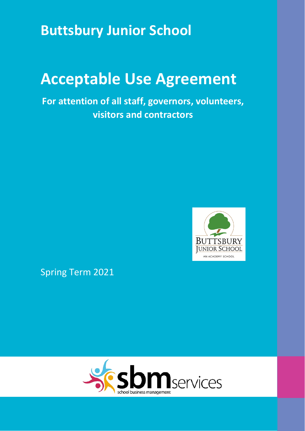**Buttsbury Junior School** 

## **Acceptable Use Agreement**

**For attention of all staff, governors, volunteers, visitors and contractors**



Spring Term 2021

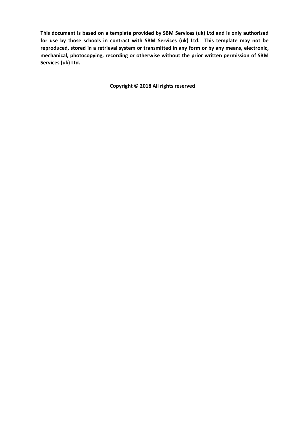**This document is based on a template provided by SBM Services (uk) Ltd and is only authorised for use by those schools in contract with SBM Services (uk) Ltd. This template may not be reproduced, stored in a retrieval system or transmitted in any form or by any means, electronic, mechanical, photocopying, recording or otherwise without the prior written permission of SBM Services (uk) Ltd.**

**Copyright © 2018 All rights reserved**